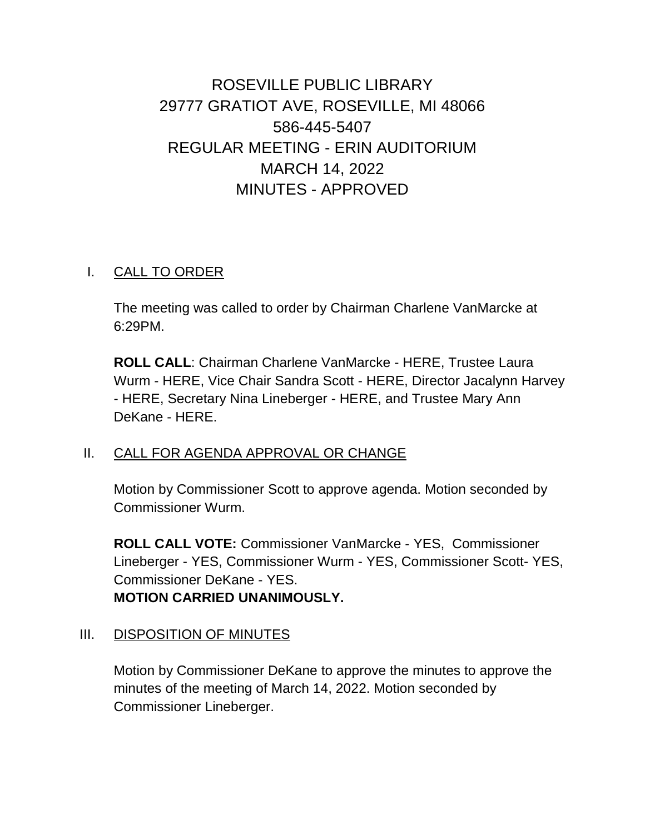# ROSEVILLE PUBLIC LIBRARY 29777 GRATIOT AVE, ROSEVILLE, MI 48066 586-445-5407 REGULAR MEETING - ERIN AUDITORIUM MARCH 14, 2022 MINUTES - APPROVED

## I. CALL TO ORDER

The meeting was called to order by Chairman Charlene VanMarcke at 6:29PM.

**ROLL CALL**: Chairman Charlene VanMarcke - HERE, Trustee Laura Wurm - HERE, Vice Chair Sandra Scott - HERE, Director Jacalynn Harvey - HERE, Secretary Nina Lineberger - HERE, and Trustee Mary Ann DeKane - HERE.

#### II. CALL FOR AGENDA APPROVAL OR CHANGE

Motion by Commissioner Scott to approve agenda. Motion seconded by Commissioner Wurm.

**ROLL CALL VOTE:** Commissioner VanMarcke - YES, Commissioner Lineberger - YES, Commissioner Wurm - YES, Commissioner Scott- YES, Commissioner DeKane - YES. **MOTION CARRIED UNANIMOUSLY.**

# III. DISPOSITION OF MINUTES

Motion by Commissioner DeKane to approve the minutes to approve the minutes of the meeting of March 14, 2022. Motion seconded by Commissioner Lineberger.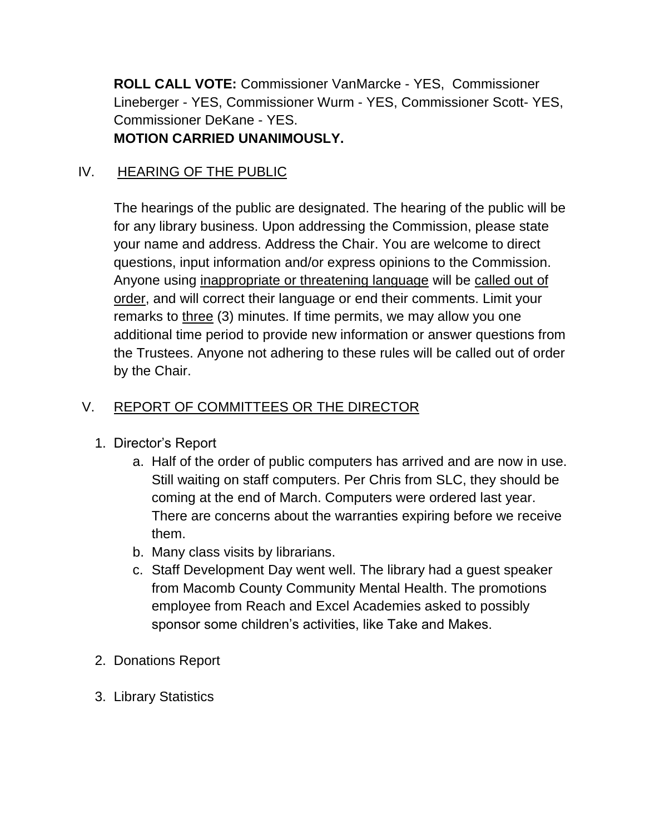**ROLL CALL VOTE:** Commissioner VanMarcke - YES, Commissioner Lineberger - YES, Commissioner Wurm - YES, Commissioner Scott- YES, Commissioner DeKane - YES. **MOTION CARRIED UNANIMOUSLY.**

# IV. HEARING OF THE PUBLIC

The hearings of the public are designated. The hearing of the public will be for any library business. Upon addressing the Commission, please state your name and address. Address the Chair. You are welcome to direct questions, input information and/or express opinions to the Commission. Anyone using inappropriate or threatening language will be called out of order, and will correct their language or end their comments. Limit your remarks to three (3) minutes. If time permits, we may allow you one additional time period to provide new information or answer questions from the Trustees. Anyone not adhering to these rules will be called out of order by the Chair.

## V. REPORT OF COMMITTEES OR THE DIRECTOR

- 1. Director's Report
	- a. Half of the order of public computers has arrived and are now in use. Still waiting on staff computers. Per Chris from SLC, they should be coming at the end of March. Computers were ordered last year. There are concerns about the warranties expiring before we receive them.
	- b. Many class visits by librarians.
	- c. Staff Development Day went well. The library had a guest speaker from Macomb County Community Mental Health. The promotions employee from Reach and Excel Academies asked to possibly sponsor some children's activities, like Take and Makes.
- 2. Donations Report
- 3. Library Statistics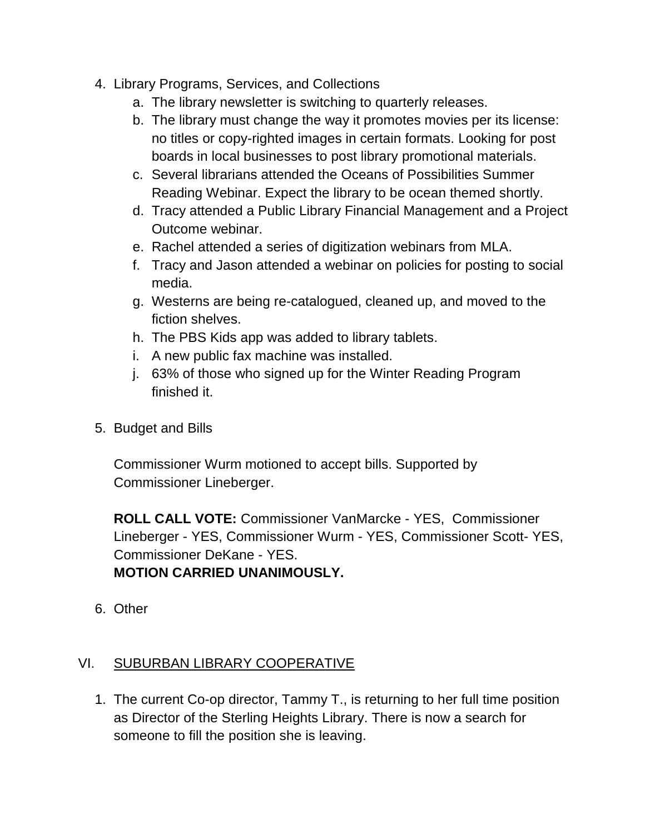- 4. Library Programs, Services, and Collections
	- a. The library newsletter is switching to quarterly releases.
	- b. The library must change the way it promotes movies per its license: no titles or copy-righted images in certain formats. Looking for post boards in local businesses to post library promotional materials.
	- c. Several librarians attended the Oceans of Possibilities Summer Reading Webinar. Expect the library to be ocean themed shortly.
	- d. Tracy attended a Public Library Financial Management and a Project Outcome webinar.
	- e. Rachel attended a series of digitization webinars from MLA.
	- f. Tracy and Jason attended a webinar on policies for posting to social media.
	- g. Westerns are being re-catalogued, cleaned up, and moved to the fiction shelves.
	- h. The PBS Kids app was added to library tablets.
	- i. A new public fax machine was installed.
	- j. 63% of those who signed up for the Winter Reading Program finished it.
- 5. Budget and Bills

Commissioner Wurm motioned to accept bills. Supported by Commissioner Lineberger.

**ROLL CALL VOTE:** Commissioner VanMarcke - YES, Commissioner Lineberger - YES, Commissioner Wurm - YES, Commissioner Scott- YES, Commissioner DeKane - YES. **MOTION CARRIED UNANIMOUSLY.**

6. Other

#### VI. SUBURBAN LIBRARY COOPERATIVE

1. The current Co-op director, Tammy T., is returning to her full time position as Director of the Sterling Heights Library. There is now a search for someone to fill the position she is leaving.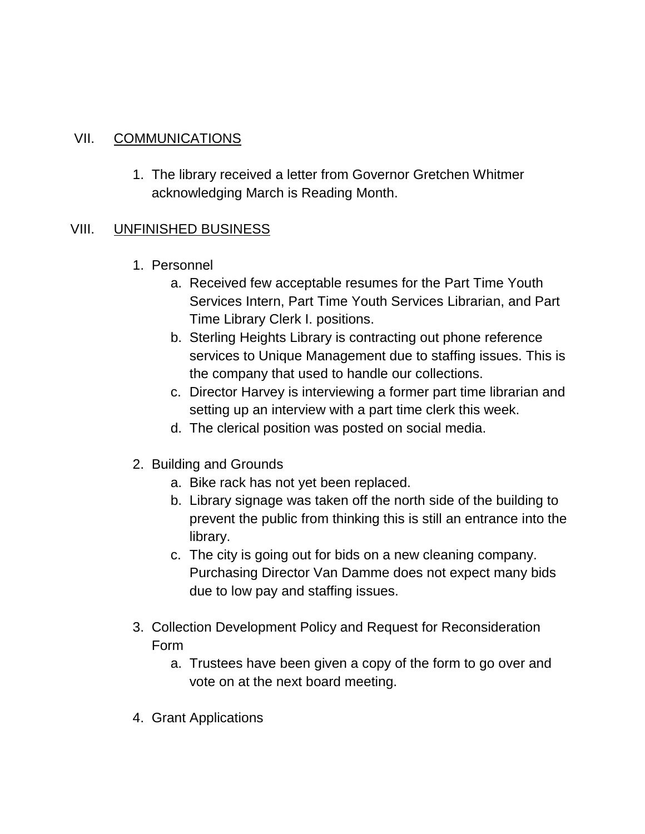## VII. COMMUNICATIONS

1. The library received a letter from Governor Gretchen Whitmer acknowledging March is Reading Month.

#### VIII. UNFINISHED BUSINESS

- 1. Personnel
	- a. Received few acceptable resumes for the Part Time Youth Services Intern, Part Time Youth Services Librarian, and Part Time Library Clerk I. positions.
	- b. Sterling Heights Library is contracting out phone reference services to Unique Management due to staffing issues. This is the company that used to handle our collections.
	- c. Director Harvey is interviewing a former part time librarian and setting up an interview with a part time clerk this week.
	- d. The clerical position was posted on social media.
- 2. Building and Grounds
	- a. Bike rack has not yet been replaced.
	- b. Library signage was taken off the north side of the building to prevent the public from thinking this is still an entrance into the library.
	- c. The city is going out for bids on a new cleaning company. Purchasing Director Van Damme does not expect many bids due to low pay and staffing issues.
- 3. Collection Development Policy and Request for Reconsideration Form
	- a. Trustees have been given a copy of the form to go over and vote on at the next board meeting.
- 4. Grant Applications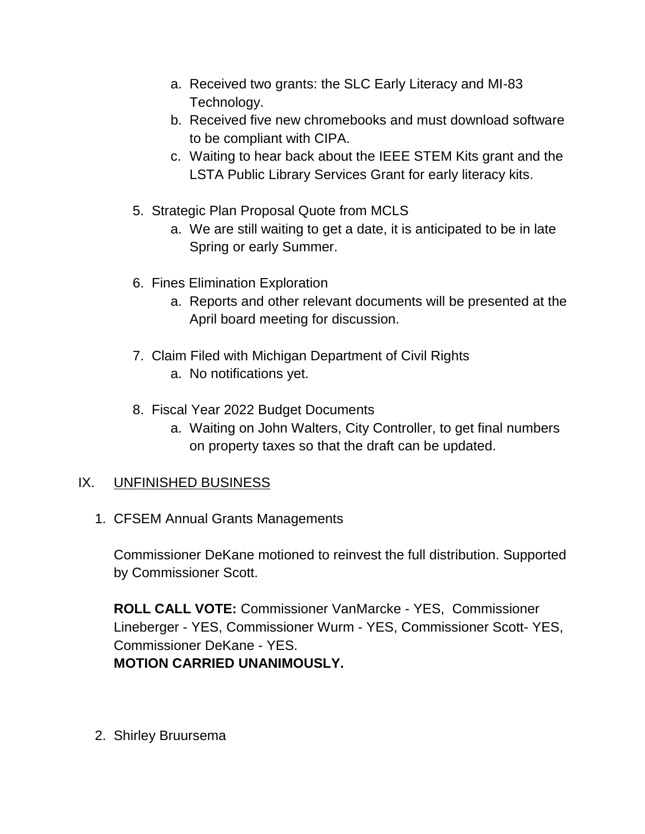- a. Received two grants: the SLC Early Literacy and MI-83 Technology.
- b. Received five new chromebooks and must download software to be compliant with CIPA.
- c. Waiting to hear back about the IEEE STEM Kits grant and the LSTA Public Library Services Grant for early literacy kits.
- 5. Strategic Plan Proposal Quote from MCLS
	- a. We are still waiting to get a date, it is anticipated to be in late Spring or early Summer.
- 6. Fines Elimination Exploration
	- a. Reports and other relevant documents will be presented at the April board meeting for discussion.
- 7. Claim Filed with Michigan Department of Civil Rights
	- a. No notifications yet.
- 8. Fiscal Year 2022 Budget Documents
	- a. Waiting on John Walters, City Controller, to get final numbers on property taxes so that the draft can be updated.

#### IX. UNFINISHED BUSINESS

1. CFSEM Annual Grants Managements

Commissioner DeKane motioned to reinvest the full distribution. Supported by Commissioner Scott.

**ROLL CALL VOTE:** Commissioner VanMarcke - YES, Commissioner Lineberger - YES, Commissioner Wurm - YES, Commissioner Scott- YES, Commissioner DeKane - YES. **MOTION CARRIED UNANIMOUSLY.**

2. Shirley Bruursema